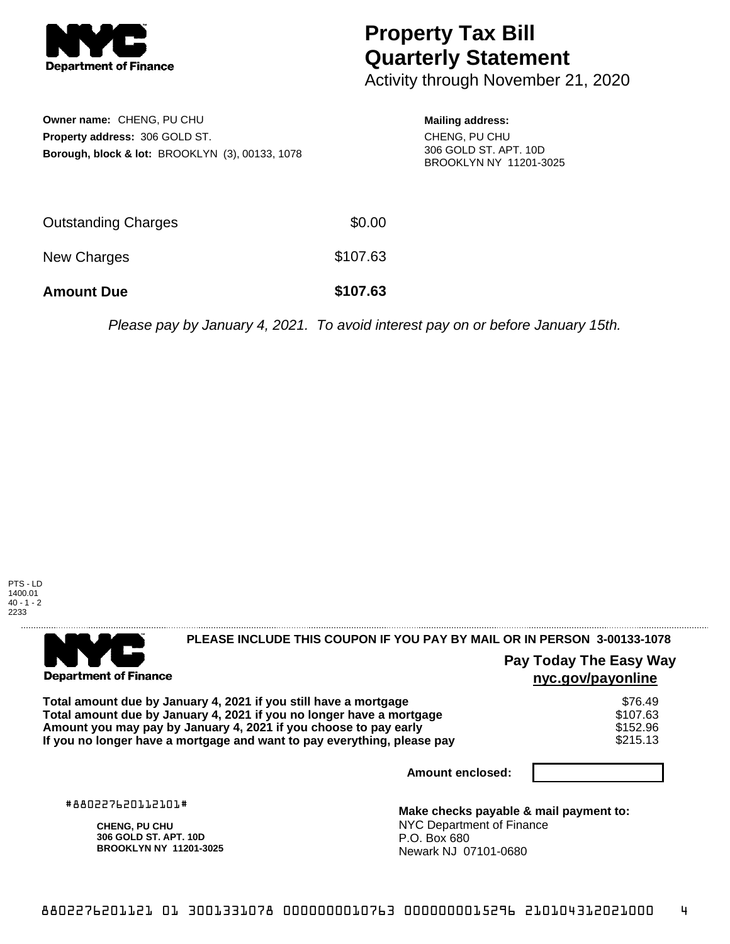

## **Property Tax Bill Quarterly Statement**

Activity through November 21, 2020

| Owner name: CHENG, PU CHU                                  |
|------------------------------------------------------------|
| <b>Property address: 306 GOLD ST.</b>                      |
| <b>Borough, block &amp; lot: BROOKLYN (3), 00133, 1078</b> |

**Mailing address:** CHENG, PU CHU 306 GOLD ST. APT. 10D BROOKLYN NY 11201-3025

| <b>Amount Due</b>   | \$107.63 |
|---------------------|----------|
| New Charges         | \$107.63 |
| Outstanding Charges | \$0.00   |

Please pay by January 4, 2021. To avoid interest pay on or before January 15th.





|  | <b>Department of Finance</b> |  |
|--|------------------------------|--|

## **PLEASE INCLUDE THIS COUPON IF YOU PAY BY MAIL OR IN PERSON 3-00133-1078**

**Pay Today The Easy Way nyc.gov/payonline**

Total amount due by January 4, 2021 if you still have a mortgage Total amount due by January 4, 2021 if you no longer have a mortgage **Amount you may pay by January 4, 2021 if you choose to pay early** \$152.96 If you no longer have a mortgage and want to pay everything, please pay

| \$76.49  |  |
|----------|--|
| \$107.63 |  |
| \$152.96 |  |
| \$215.13 |  |

**Amount enclosed:**

#880227620112101#

**CHENG, PU CHU 306 GOLD ST. APT. 10D BROOKLYN NY 11201-3025**

**Make checks payable & mail payment to:** NYC Department of Finance P.O. Box 680 Newark NJ 07101-0680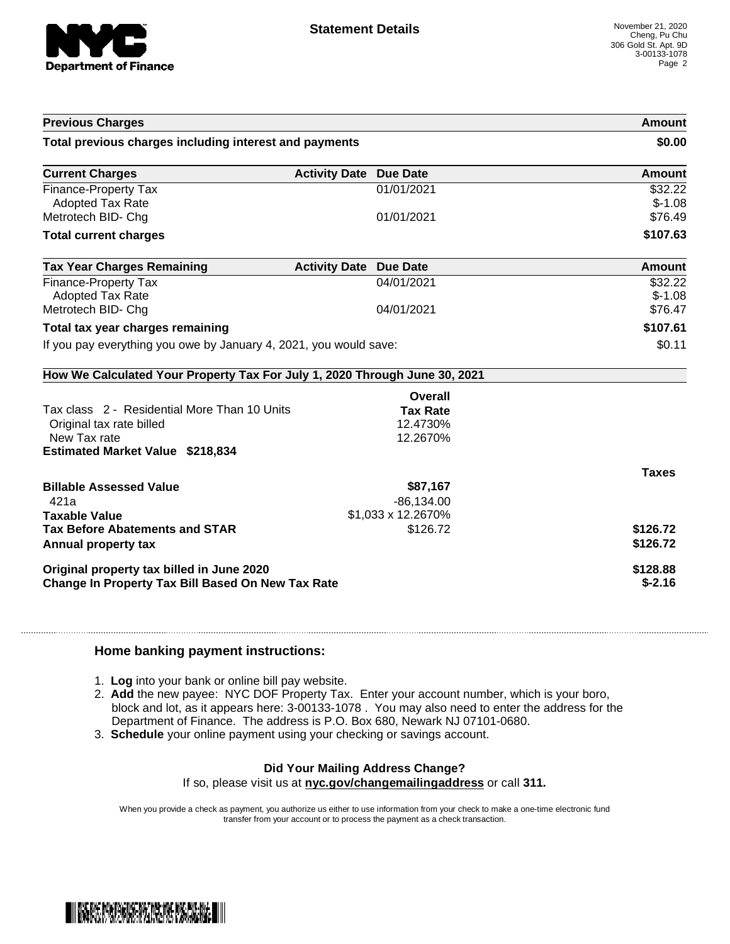

|                                                                                                                        |                               |                    | Amount              |
|------------------------------------------------------------------------------------------------------------------------|-------------------------------|--------------------|---------------------|
| Total previous charges including interest and payments                                                                 |                               |                    | \$0.00              |
| <b>Current Charges</b>                                                                                                 | <b>Activity Date Due Date</b> |                    | Amount              |
| Finance-Property Tax<br><b>Adopted Tax Rate</b>                                                                        |                               | 01/01/2021         | \$32.22<br>$$-1.08$ |
| Metrotech BID- Chg                                                                                                     |                               | 01/01/2021         | \$76.49             |
| <b>Total current charges</b>                                                                                           |                               |                    | \$107.63            |
| <b>Tax Year Charges Remaining</b>                                                                                      | <b>Activity Date</b>          | <b>Due Date</b>    | Amount              |
| <b>Finance-Property Tax</b>                                                                                            |                               | 04/01/2021         | \$32.22             |
| <b>Adopted Tax Rate</b>                                                                                                |                               |                    | $$-1.08$            |
| Metrotech BID- Chg                                                                                                     |                               | 04/01/2021         | \$76.47             |
| Total tax year charges remaining                                                                                       |                               |                    | \$107.61            |
| If you pay everything you owe by January 4, 2021, you would save:                                                      | \$0.11                        |                    |                     |
| How We Calculated Your Property Tax For July 1, 2020 Through June 30, 2021                                             |                               |                    |                     |
|                                                                                                                        |                               |                    |                     |
|                                                                                                                        |                               | Overall            |                     |
| Tax class 2 - Residential More Than 10 Units                                                                           |                               | <b>Tax Rate</b>    |                     |
| Original tax rate billed                                                                                               |                               | 12.4730%           |                     |
| New Tax rate                                                                                                           |                               | 12.2670%           |                     |
| <b>Estimated Market Value \$218,834</b>                                                                                |                               |                    |                     |
|                                                                                                                        |                               |                    | <b>Taxes</b>        |
|                                                                                                                        |                               | \$87,167           |                     |
| 421a                                                                                                                   |                               | $-86, 134.00$      |                     |
|                                                                                                                        |                               | \$1,033 x 12.2670% |                     |
|                                                                                                                        |                               | \$126.72           | \$126.72            |
| <b>Billable Assessed Value</b><br><b>Taxable Value</b><br><b>Tax Before Abatements and STAR</b><br>Annual property tax |                               |                    | \$126.72            |
| Original property tax billed in June 2020                                                                              |                               |                    | \$128.88            |

## **Home banking payment instructions:**

- 1. **Log** into your bank or online bill pay website.
- 2. **Add** the new payee: NYC DOF Property Tax. Enter your account number, which is your boro, block and lot, as it appears here: 3-00133-1078 . You may also need to enter the address for the Department of Finance. The address is P.O. Box 680, Newark NJ 07101-0680.
- 3. **Schedule** your online payment using your checking or savings account.

## **Did Your Mailing Address Change?**

If so, please visit us at **nyc.gov/changemailingaddress** or call **311.**

When you provide a check as payment, you authorize us either to use information from your check to make a one-time electronic fund transfer from your account or to process the payment as a check transaction.